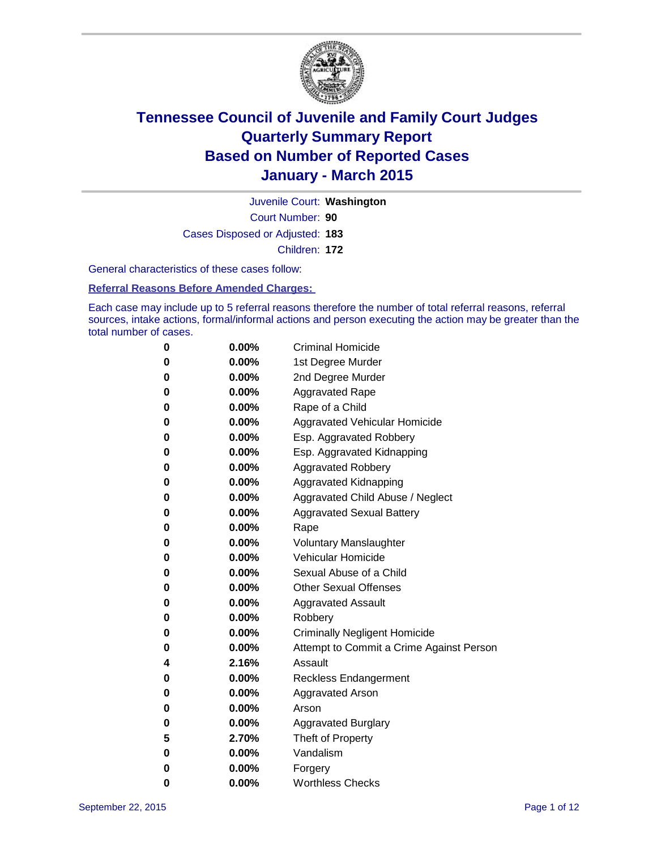

Court Number: **90** Juvenile Court: **Washington** Cases Disposed or Adjusted: **183** Children: **172**

General characteristics of these cases follow:

### **Referral Reasons Before Amended Charges:**

Each case may include up to 5 referral reasons therefore the number of total referral reasons, referral sources, intake actions, formal/informal actions and person executing the action may be greater than the total number of cases.

| 0        | $0.00\%$ | <b>Criminal Homicide</b>                 |
|----------|----------|------------------------------------------|
| 0        | $0.00\%$ | 1st Degree Murder                        |
| 0        | $0.00\%$ | 2nd Degree Murder                        |
| 0        | $0.00\%$ | <b>Aggravated Rape</b>                   |
| 0        | $0.00\%$ | Rape of a Child                          |
| 0        | $0.00\%$ | Aggravated Vehicular Homicide            |
| 0        | 0.00%    | Esp. Aggravated Robbery                  |
| 0        | $0.00\%$ | Esp. Aggravated Kidnapping               |
| 0        | $0.00\%$ | <b>Aggravated Robbery</b>                |
| $\bf{0}$ | $0.00\%$ | Aggravated Kidnapping                    |
| 0        | 0.00%    | Aggravated Child Abuse / Neglect         |
| 0        | $0.00\%$ | <b>Aggravated Sexual Battery</b>         |
| 0        | $0.00\%$ | Rape                                     |
| 0        | $0.00\%$ | <b>Voluntary Manslaughter</b>            |
| 0        | $0.00\%$ | <b>Vehicular Homicide</b>                |
| 0        | $0.00\%$ | Sexual Abuse of a Child                  |
| 0        | $0.00\%$ | <b>Other Sexual Offenses</b>             |
| 0        | $0.00\%$ | <b>Aggravated Assault</b>                |
| 0        | $0.00\%$ | Robbery                                  |
| 0        | $0.00\%$ | <b>Criminally Negligent Homicide</b>     |
| 0        | $0.00\%$ | Attempt to Commit a Crime Against Person |
| 4        | 2.16%    | Assault                                  |
| 0        | $0.00\%$ | <b>Reckless Endangerment</b>             |
| 0        | $0.00\%$ | Aggravated Arson                         |
| 0        | $0.00\%$ | Arson                                    |
| 0        | $0.00\%$ | <b>Aggravated Burglary</b>               |
| 5        | 2.70%    | Theft of Property                        |
| 0        | $0.00\%$ | Vandalism                                |
| 0        | $0.00\%$ | Forgery                                  |
| 0        | 0.00%    | <b>Worthless Checks</b>                  |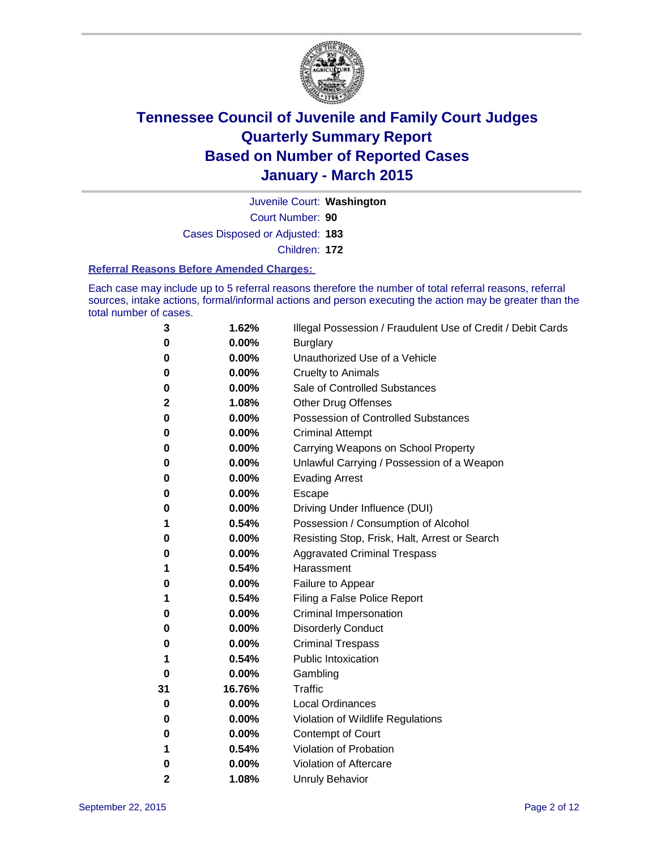

Court Number: **90** Juvenile Court: **Washington** Cases Disposed or Adjusted: **183** Children: **172**

#### **Referral Reasons Before Amended Charges:**

Each case may include up to 5 referral reasons therefore the number of total referral reasons, referral sources, intake actions, formal/informal actions and person executing the action may be greater than the total number of cases.

| 3        | 1.62%  | Illegal Possession / Fraudulent Use of Credit / Debit Cards |
|----------|--------|-------------------------------------------------------------|
| 0        | 0.00%  | <b>Burglary</b>                                             |
| 0        | 0.00%  | Unauthorized Use of a Vehicle                               |
| 0        | 0.00%  | <b>Cruelty to Animals</b>                                   |
| 0        | 0.00%  | Sale of Controlled Substances                               |
| 2        | 1.08%  | <b>Other Drug Offenses</b>                                  |
| 0        | 0.00%  | <b>Possession of Controlled Substances</b>                  |
| 0        | 0.00%  | <b>Criminal Attempt</b>                                     |
| 0        | 0.00%  | Carrying Weapons on School Property                         |
| 0        | 0.00%  | Unlawful Carrying / Possession of a Weapon                  |
| 0        | 0.00%  | <b>Evading Arrest</b>                                       |
| 0        | 0.00%  | Escape                                                      |
| 0        | 0.00%  | Driving Under Influence (DUI)                               |
| 1        | 0.54%  | Possession / Consumption of Alcohol                         |
| 0        | 0.00%  | Resisting Stop, Frisk, Halt, Arrest or Search               |
| 0        | 0.00%  | <b>Aggravated Criminal Trespass</b>                         |
| 1        | 0.54%  | Harassment                                                  |
| 0        | 0.00%  | Failure to Appear                                           |
| 1        | 0.54%  | Filing a False Police Report                                |
| 0        | 0.00%  | Criminal Impersonation                                      |
| 0        | 0.00%  | <b>Disorderly Conduct</b>                                   |
| 0        | 0.00%  | <b>Criminal Trespass</b>                                    |
| 1        | 0.54%  | <b>Public Intoxication</b>                                  |
| $\bf{0}$ | 0.00%  | Gambling                                                    |
| 31       | 16.76% | <b>Traffic</b>                                              |
| 0        | 0.00%  | <b>Local Ordinances</b>                                     |
| 0        | 0.00%  | Violation of Wildlife Regulations                           |
| 0        | 0.00%  | Contempt of Court                                           |
| 1        | 0.54%  | Violation of Probation                                      |
| 0        | 0.00%  | Violation of Aftercare                                      |
| 2        | 1.08%  | <b>Unruly Behavior</b>                                      |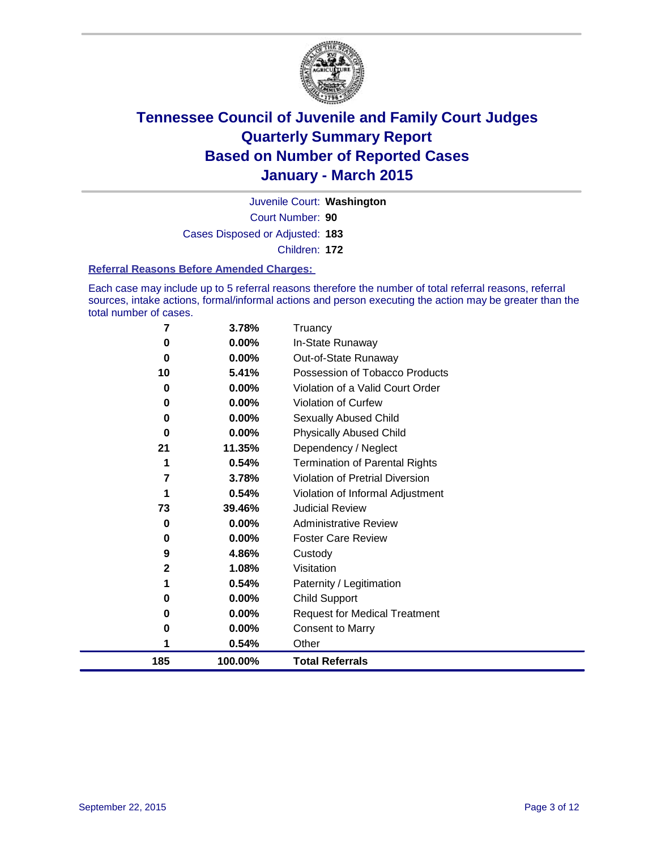

Court Number: **90** Juvenile Court: **Washington** Cases Disposed or Adjusted: **183** Children: **172**

#### **Referral Reasons Before Amended Charges:**

Each case may include up to 5 referral reasons therefore the number of total referral reasons, referral sources, intake actions, formal/informal actions and person executing the action may be greater than the total number of cases.

| 7            | 3.78%    | Truancy                                |
|--------------|----------|----------------------------------------|
| 0            | 0.00%    | In-State Runaway                       |
| 0            | 0.00%    | Out-of-State Runaway                   |
| 10           | 5.41%    | Possession of Tobacco Products         |
| 0            | $0.00\%$ | Violation of a Valid Court Order       |
| 0            | 0.00%    | <b>Violation of Curfew</b>             |
| 0            | $0.00\%$ | Sexually Abused Child                  |
| 0            | $0.00\%$ | <b>Physically Abused Child</b>         |
| 21           | 11.35%   | Dependency / Neglect                   |
| 1            | 0.54%    | <b>Termination of Parental Rights</b>  |
| 7            | 3.78%    | <b>Violation of Pretrial Diversion</b> |
| 1            | 0.54%    | Violation of Informal Adjustment       |
| 73           | 39.46%   | <b>Judicial Review</b>                 |
| 0            | $0.00\%$ | <b>Administrative Review</b>           |
| 0            | 0.00%    | <b>Foster Care Review</b>              |
| 9            | 4.86%    | Custody                                |
| $\mathbf{2}$ | 1.08%    | Visitation                             |
| 1            | 0.54%    | Paternity / Legitimation               |
| 0            | 0.00%    | <b>Child Support</b>                   |
| 0            | 0.00%    | <b>Request for Medical Treatment</b>   |
| 0            | 0.00%    | <b>Consent to Marry</b>                |
|              | 0.54%    | Other                                  |
| 185          | 100.00%  | <b>Total Referrals</b>                 |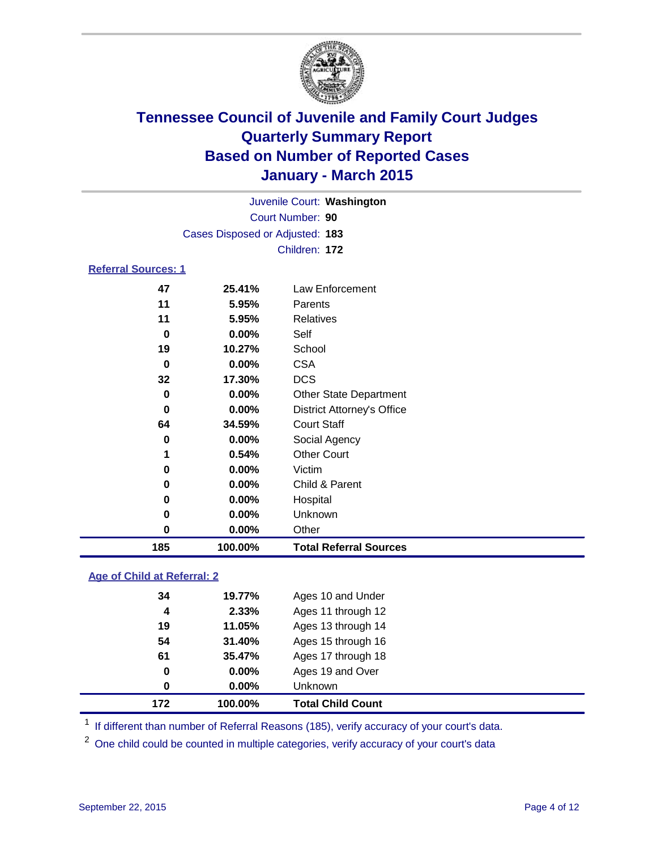

| Juvenile Court: Washington      |  |
|---------------------------------|--|
| Court Number: 90                |  |
| Cases Disposed or Adjusted: 183 |  |
| Children: 172                   |  |

### **Referral Sources: 1**

| 185 | 100.00%  | <b>Total Referral Sources</b>     |
|-----|----------|-----------------------------------|
| 0   | $0.00\%$ | Other                             |
| 0   | $0.00\%$ | Unknown                           |
| 0   | $0.00\%$ | Hospital                          |
| 0   | $0.00\%$ | Child & Parent                    |
| 0   | $0.00\%$ | Victim                            |
| 1   | 0.54%    | <b>Other Court</b>                |
| 0   | $0.00\%$ | Social Agency                     |
| 64  | 34.59%   | <b>Court Staff</b>                |
| 0   | $0.00\%$ | <b>District Attorney's Office</b> |
| 0   | $0.00\%$ | <b>Other State Department</b>     |
| 32  | 17.30%   | <b>DCS</b>                        |
| 0   | $0.00\%$ | <b>CSA</b>                        |
| 19  | 10.27%   | School                            |
| 0   | $0.00\%$ | Self                              |
| 11  | 5.95%    | Relatives                         |
| 11  | 5.95%    | Parents                           |
| 47  | 25.41%   | Law Enforcement                   |

### **Age of Child at Referral: 2**

| 172 | 100.00%  | <b>Total Child Count</b> |  |
|-----|----------|--------------------------|--|
| 0   | $0.00\%$ | <b>Unknown</b>           |  |
| 0   | $0.00\%$ | Ages 19 and Over         |  |
| 61  | 35.47%   | Ages 17 through 18       |  |
| 54  | 31.40%   | Ages 15 through 16       |  |
| 19  | 11.05%   | Ages 13 through 14       |  |
| 4   | 2.33%    | Ages 11 through 12       |  |
| 34  | 19.77%   | Ages 10 and Under        |  |

<sup>1</sup> If different than number of Referral Reasons (185), verify accuracy of your court's data.

One child could be counted in multiple categories, verify accuracy of your court's data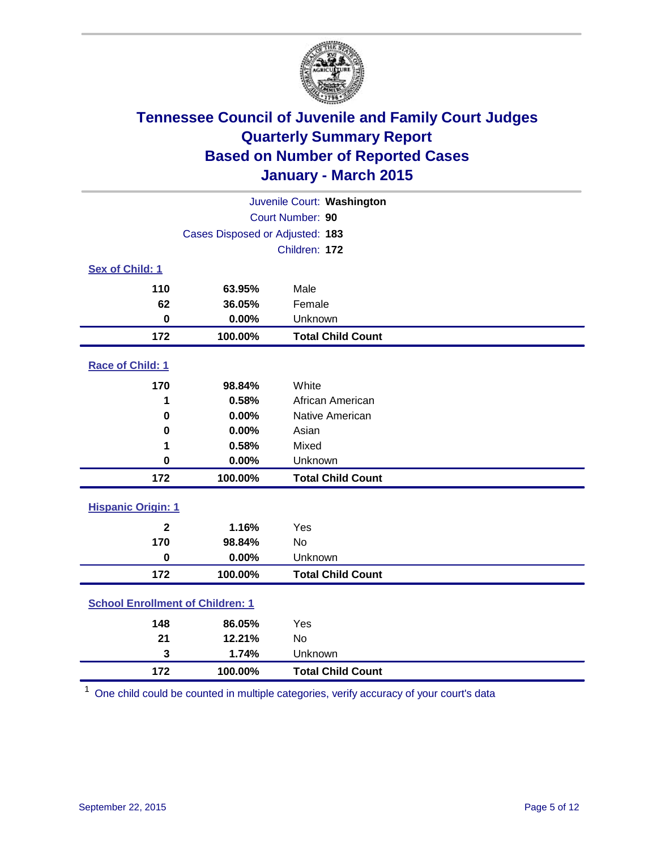

| Juvenile Court: Washington              |                                 |                          |  |  |
|-----------------------------------------|---------------------------------|--------------------------|--|--|
| Court Number: 90                        |                                 |                          |  |  |
|                                         | Cases Disposed or Adjusted: 183 |                          |  |  |
|                                         |                                 | Children: 172            |  |  |
| Sex of Child: 1                         |                                 |                          |  |  |
| 110                                     | 63.95%                          | Male                     |  |  |
| 62                                      | 36.05%                          | Female                   |  |  |
| $\bf{0}$                                | 0.00%                           | Unknown                  |  |  |
| 172                                     | 100.00%                         | <b>Total Child Count</b> |  |  |
| Race of Child: 1                        |                                 |                          |  |  |
| 170                                     | 98.84%                          | White                    |  |  |
| 1                                       | 0.58%                           | African American         |  |  |
| $\bf{0}$                                | 0.00%                           | Native American          |  |  |
| 0                                       | 0.00%                           | Asian                    |  |  |
| 1                                       | 0.58%                           | Mixed                    |  |  |
| 0                                       | 0.00%                           | Unknown                  |  |  |
| 172                                     | 100.00%                         | <b>Total Child Count</b> |  |  |
| <b>Hispanic Origin: 1</b>               |                                 |                          |  |  |
| $\mathbf{2}$                            | 1.16%                           | Yes                      |  |  |
| 170                                     | 98.84%                          | <b>No</b>                |  |  |
| $\mathbf 0$                             | 0.00%                           | Unknown                  |  |  |
| 172                                     | 100.00%                         | <b>Total Child Count</b> |  |  |
| <b>School Enrollment of Children: 1</b> |                                 |                          |  |  |
| 148                                     | 86.05%                          | Yes                      |  |  |
| 21                                      | 12.21%                          | No                       |  |  |
| 3                                       | 1.74%                           | Unknown                  |  |  |
| 172                                     | 100.00%                         | <b>Total Child Count</b> |  |  |

One child could be counted in multiple categories, verify accuracy of your court's data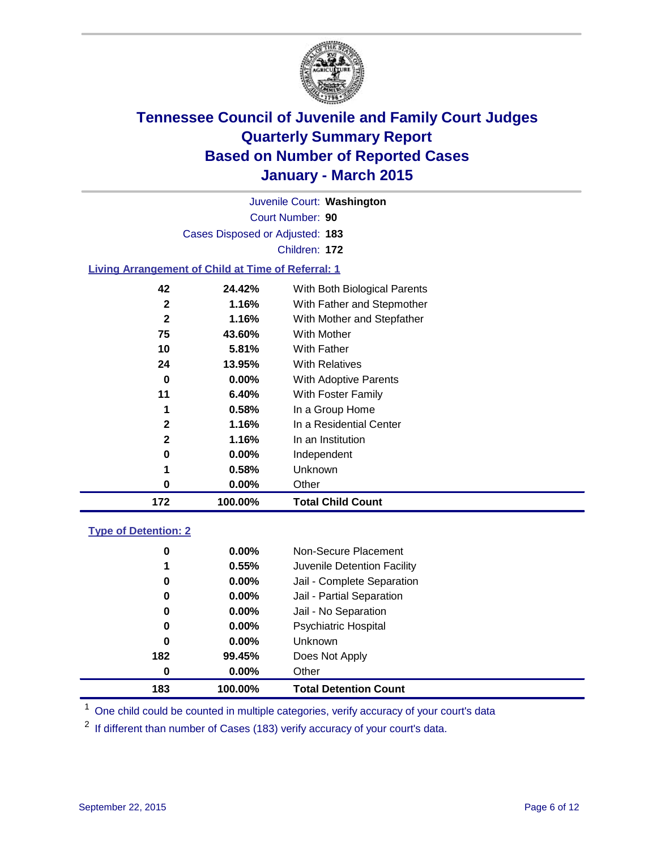

Court Number: **90** Juvenile Court: **Washington** Cases Disposed or Adjusted: **183** Children: **172**

### **Living Arrangement of Child at Time of Referral: 1**

| 172          | 100.00%  | <b>Total Child Count</b>     |
|--------------|----------|------------------------------|
| 0            | $0.00\%$ | Other                        |
| 1            | 0.58%    | <b>Unknown</b>               |
| 0            | $0.00\%$ | Independent                  |
| 2            | 1.16%    | In an Institution            |
| $\mathbf{2}$ | 1.16%    | In a Residential Center      |
| 1            | 0.58%    | In a Group Home              |
| 11           | 6.40%    | With Foster Family           |
| 0            | $0.00\%$ | With Adoptive Parents        |
| 24           | 13.95%   | <b>With Relatives</b>        |
| 10           | 5.81%    | With Father                  |
| 75           | 43.60%   | With Mother                  |
| $\mathbf{2}$ | 1.16%    | With Mother and Stepfather   |
| $\mathbf{2}$ | 1.16%    | With Father and Stepmother   |
| 42           | 24.42%   | With Both Biological Parents |
|              |          |                              |

### **Type of Detention: 2**

| 0   | 0.00%    | Non-Secure Placement         |
|-----|----------|------------------------------|
| 1   | 0.55%    | Juvenile Detention Facility  |
| 0   | $0.00\%$ | Jail - Complete Separation   |
| 0   | 0.00%    | Jail - Partial Separation    |
| 0   | 0.00%    | Jail - No Separation         |
| 0   | $0.00\%$ | <b>Psychiatric Hospital</b>  |
| 0   | $0.00\%$ | <b>Unknown</b>               |
| 182 | 99.45%   | Does Not Apply               |
| 0   | $0.00\%$ | Other                        |
| 183 | 100.00%  | <b>Total Detention Count</b> |

<sup>1</sup> One child could be counted in multiple categories, verify accuracy of your court's data

If different than number of Cases (183) verify accuracy of your court's data.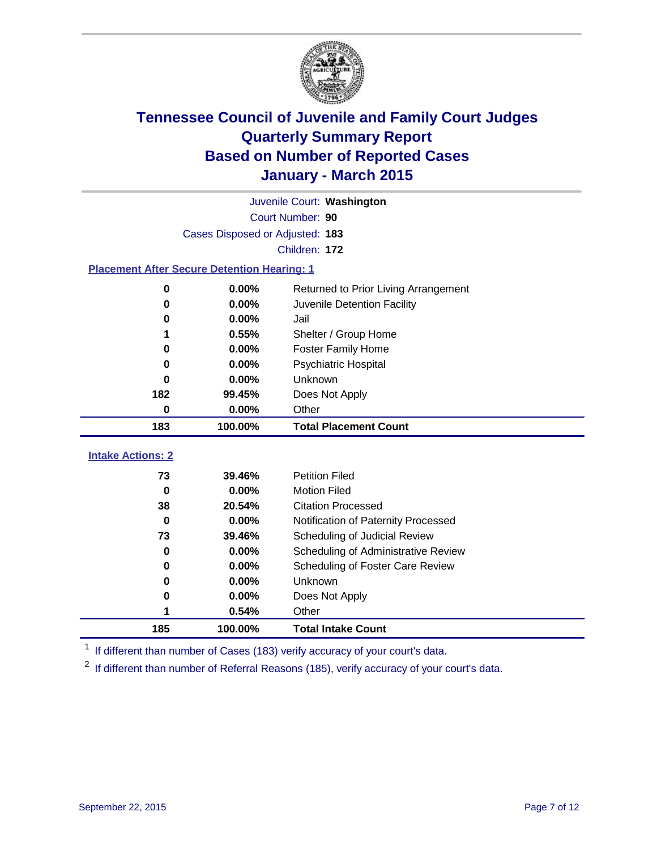

|                                                    | Juvenile Court: Washington      |                                      |  |  |  |
|----------------------------------------------------|---------------------------------|--------------------------------------|--|--|--|
|                                                    | Court Number: 90                |                                      |  |  |  |
|                                                    | Cases Disposed or Adjusted: 183 |                                      |  |  |  |
|                                                    | Children: 172                   |                                      |  |  |  |
| <b>Placement After Secure Detention Hearing: 1</b> |                                 |                                      |  |  |  |
| 0                                                  | 0.00%                           | Returned to Prior Living Arrangement |  |  |  |
| 0                                                  | 0.00%                           | Juvenile Detention Facility          |  |  |  |
| 0                                                  | 0.00%                           | Jail                                 |  |  |  |
| 1                                                  | 0.55%                           | Shelter / Group Home                 |  |  |  |
| 0                                                  | $0.00\%$                        | <b>Foster Family Home</b>            |  |  |  |
| 0                                                  | 0.00%                           | Psychiatric Hospital                 |  |  |  |
| 0                                                  | $0.00\%$                        | Unknown                              |  |  |  |
| 182                                                | 99.45%                          | Does Not Apply                       |  |  |  |
| $\bf{0}$                                           | 0.00%                           | Other                                |  |  |  |
| 183                                                | 100.00%                         | <b>Total Placement Count</b>         |  |  |  |
| <b>Intake Actions: 2</b>                           |                                 |                                      |  |  |  |
|                                                    |                                 |                                      |  |  |  |
| 73                                                 | 39.46%                          | <b>Petition Filed</b>                |  |  |  |
| $\bf{0}$                                           | 0.00%                           | <b>Motion Filed</b>                  |  |  |  |
| 38                                                 | 20.54%                          | <b>Citation Processed</b>            |  |  |  |
| $\bf{0}$                                           | 0.00%                           | Notification of Paternity Processed  |  |  |  |
| 73                                                 | 39.46%                          | Scheduling of Judicial Review        |  |  |  |
| $\bf{0}$                                           | 0.00%                           | Scheduling of Administrative Review  |  |  |  |
| 0                                                  | 0.00%                           | Scheduling of Foster Care Review     |  |  |  |
| 0                                                  | 0.00%                           | Unknown                              |  |  |  |
| 0                                                  | 0.00%                           | Does Not Apply                       |  |  |  |
| 1                                                  | 0.54%                           | Other                                |  |  |  |
| 185                                                | 100.00%                         | <b>Total Intake Count</b>            |  |  |  |

<sup>1</sup> If different than number of Cases (183) verify accuracy of your court's data.

<sup>2</sup> If different than number of Referral Reasons (185), verify accuracy of your court's data.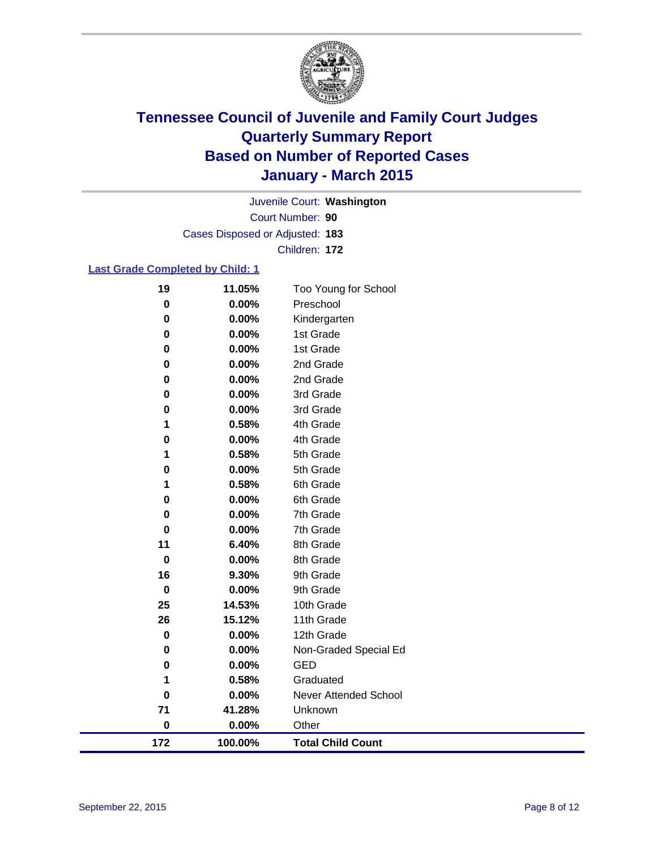

Court Number: **90** Juvenile Court: **Washington** Cases Disposed or Adjusted: **183** Children: **172**

### **Last Grade Completed by Child: 1**

| 172      | 100.00%                                                                                               | <b>Total Child Count</b>                                                                                                                                |
|----------|-------------------------------------------------------------------------------------------------------|---------------------------------------------------------------------------------------------------------------------------------------------------------|
| 0        | 0.00%                                                                                                 | Other                                                                                                                                                   |
| 71       | 41.28%                                                                                                | Unknown                                                                                                                                                 |
| 0        | 0.00%                                                                                                 | <b>Never Attended School</b>                                                                                                                            |
| 1        | 0.58%                                                                                                 | Graduated                                                                                                                                               |
| 0        | 0.00%                                                                                                 | <b>GED</b>                                                                                                                                              |
| 0        | 0.00%                                                                                                 | Non-Graded Special Ed                                                                                                                                   |
| 0        | 0.00%                                                                                                 | 12th Grade                                                                                                                                              |
| 26       |                                                                                                       | 11th Grade                                                                                                                                              |
|          |                                                                                                       | 10th Grade                                                                                                                                              |
|          |                                                                                                       | 9th Grade                                                                                                                                               |
|          |                                                                                                       | 9th Grade                                                                                                                                               |
|          |                                                                                                       | 8th Grade                                                                                                                                               |
|          |                                                                                                       | 8th Grade                                                                                                                                               |
|          |                                                                                                       | 7th Grade                                                                                                                                               |
|          |                                                                                                       | 7th Grade                                                                                                                                               |
|          |                                                                                                       | 6th Grade                                                                                                                                               |
|          |                                                                                                       | 5th Grade<br>6th Grade                                                                                                                                  |
|          |                                                                                                       | 5th Grade                                                                                                                                               |
|          |                                                                                                       | 4th Grade                                                                                                                                               |
|          |                                                                                                       | 4th Grade                                                                                                                                               |
|          |                                                                                                       | 3rd Grade                                                                                                                                               |
|          |                                                                                                       | 3rd Grade                                                                                                                                               |
| 0        |                                                                                                       | 2nd Grade                                                                                                                                               |
| 0        | 0.00%                                                                                                 | 2nd Grade                                                                                                                                               |
| 0        | 0.00%                                                                                                 | 1st Grade                                                                                                                                               |
| 0        | 0.00%                                                                                                 | 1st Grade                                                                                                                                               |
| 0        | 0.00%                                                                                                 | Kindergarten                                                                                                                                            |
| $\bf{0}$ | 0.00%                                                                                                 | Preschool                                                                                                                                               |
| 19       | 11.05%                                                                                                | Too Young for School                                                                                                                                    |
|          | 0<br>0<br>1<br>0<br>1<br>0<br>1<br>0<br>0<br>$\bf{0}$<br>11<br>$\mathbf 0$<br>16<br>$\mathbf 0$<br>25 | 0.00%<br>0.00%<br>0.00%<br>0.58%<br>0.00%<br>0.58%<br>0.00%<br>0.58%<br>0.00%<br>0.00%<br>0.00%<br>6.40%<br>0.00%<br>9.30%<br>0.00%<br>14.53%<br>15.12% |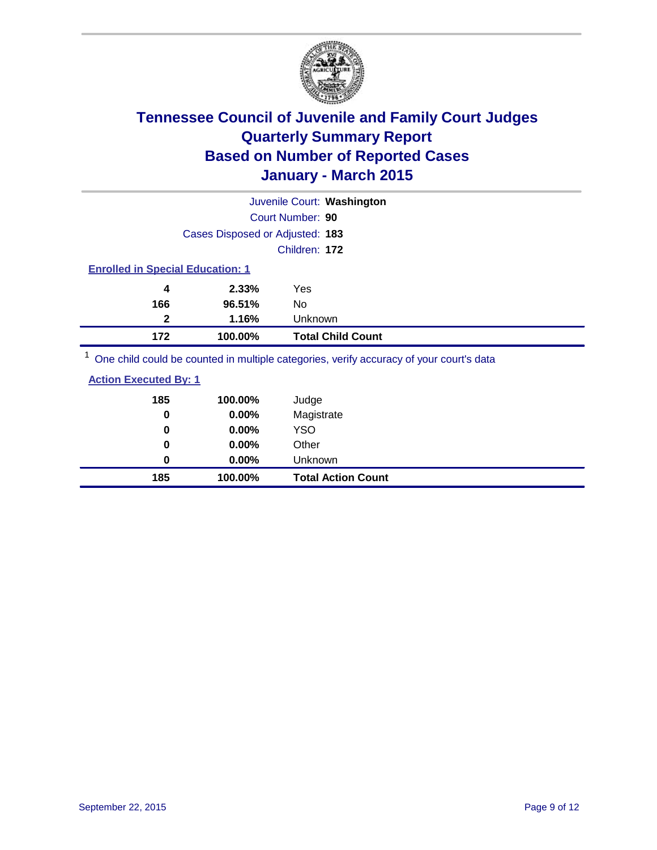

|                                         |                                 | Juvenile Court: Washington                                                                          |  |  |
|-----------------------------------------|---------------------------------|-----------------------------------------------------------------------------------------------------|--|--|
|                                         |                                 | Court Number: 90                                                                                    |  |  |
|                                         | Cases Disposed or Adjusted: 183 |                                                                                                     |  |  |
|                                         |                                 | Children: 172                                                                                       |  |  |
| <b>Enrolled in Special Education: 1</b> |                                 |                                                                                                     |  |  |
| 4                                       | 2.33%                           | Yes                                                                                                 |  |  |
| 166                                     | 96.51%                          | No.                                                                                                 |  |  |
| 2                                       | 1.16%                           | <b>Unknown</b>                                                                                      |  |  |
| 172                                     | 100.00%                         | <b>Total Child Count</b>                                                                            |  |  |
|                                         |                                 | $\frac{1}{2}$ One objet could be counted in multiple estegation verify assumed of your courtle data |  |  |

<sup>1</sup> One child could be counted in multiple categories, verify accuracy of your court's data

| <b>Action Executed By: 1</b> |  |
|------------------------------|--|
|                              |  |

| 185 | 100.00%  | Judge                     |
|-----|----------|---------------------------|
| 0   | 0.00%    | Magistrate                |
| 0   | 0.00%    | <b>YSO</b>                |
| 0   | $0.00\%$ | Other                     |
| 0   | $0.00\%$ | Unknown                   |
| 185 | 100.00%  | <b>Total Action Count</b> |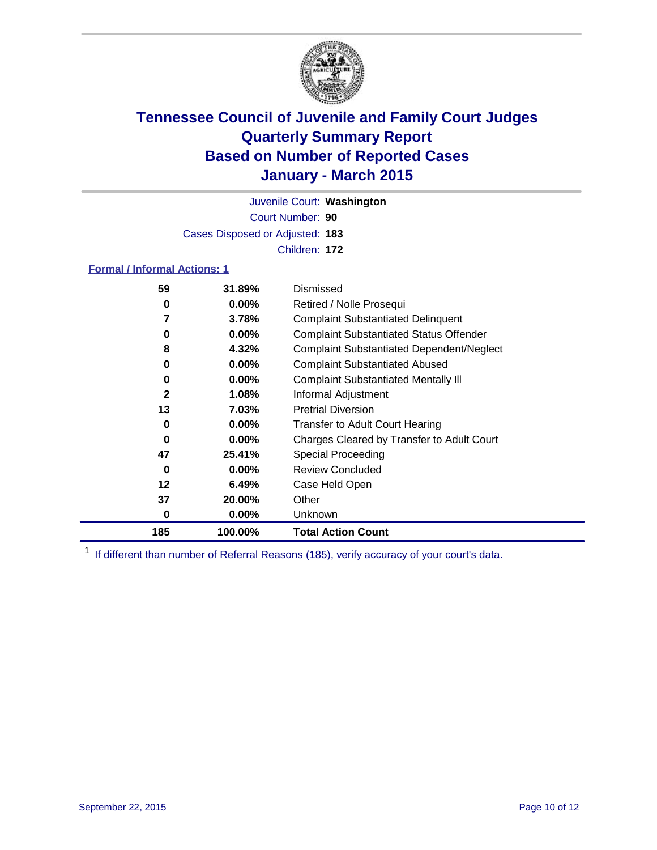

Court Number: **90** Juvenile Court: **Washington** Cases Disposed or Adjusted: **183** Children: **172**

### **Formal / Informal Actions: 1**

| 59           | 31.89%   | Dismissed                                        |
|--------------|----------|--------------------------------------------------|
| 0            | $0.00\%$ | Retired / Nolle Prosequi                         |
| 7            | 3.78%    | <b>Complaint Substantiated Delinquent</b>        |
| 0            | $0.00\%$ | <b>Complaint Substantiated Status Offender</b>   |
| 8            | 4.32%    | <b>Complaint Substantiated Dependent/Neglect</b> |
| 0            | $0.00\%$ | <b>Complaint Substantiated Abused</b>            |
| 0            | $0.00\%$ | <b>Complaint Substantiated Mentally III</b>      |
| $\mathbf{2}$ | 1.08%    | Informal Adjustment                              |
| 13           | 7.03%    | <b>Pretrial Diversion</b>                        |
| 0            | $0.00\%$ | <b>Transfer to Adult Court Hearing</b>           |
| 0            | $0.00\%$ | Charges Cleared by Transfer to Adult Court       |
| 47           | 25.41%   | Special Proceeding                               |
| 0            | $0.00\%$ | <b>Review Concluded</b>                          |
| 12           | 6.49%    | Case Held Open                                   |
| 37           | 20.00%   | Other                                            |
| 0            | $0.00\%$ | Unknown                                          |
| 185          | 100.00%  | <b>Total Action Count</b>                        |

<sup>1</sup> If different than number of Referral Reasons (185), verify accuracy of your court's data.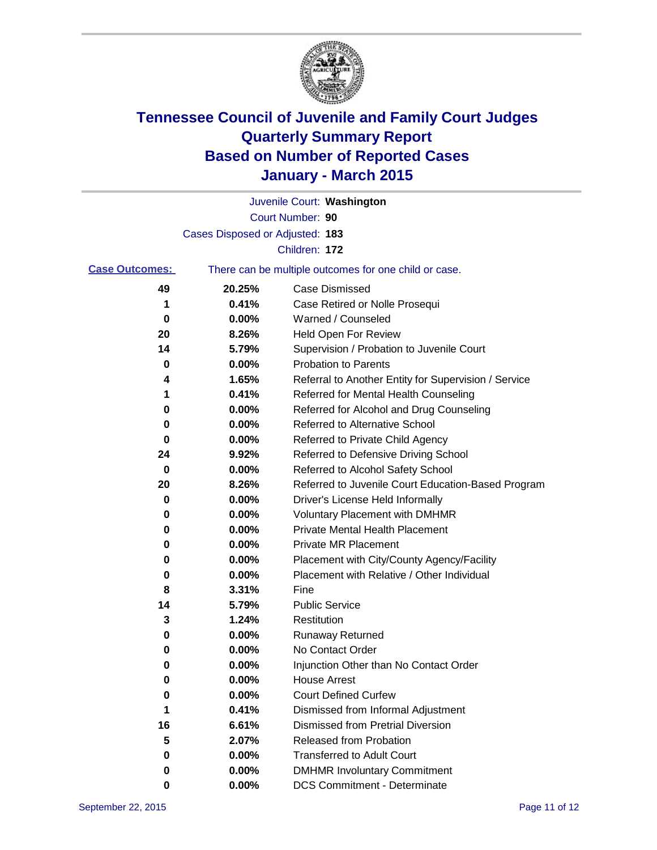

|                       |                                 | Juvenile Court: Washington                            |
|-----------------------|---------------------------------|-------------------------------------------------------|
|                       |                                 | Court Number: 90                                      |
|                       | Cases Disposed or Adjusted: 183 |                                                       |
|                       |                                 | Children: 172                                         |
| <b>Case Outcomes:</b> |                                 | There can be multiple outcomes for one child or case. |
| 49                    | 20.25%                          | <b>Case Dismissed</b>                                 |
| 1                     | 0.41%                           | Case Retired or Nolle Prosequi                        |
| 0                     | 0.00%                           | Warned / Counseled                                    |
| 20                    | 8.26%                           | Held Open For Review                                  |
| 14                    | 5.79%                           | Supervision / Probation to Juvenile Court             |
| 0                     | 0.00%                           | <b>Probation to Parents</b>                           |
| 4                     | 1.65%                           | Referral to Another Entity for Supervision / Service  |
| 1                     | 0.41%                           | Referred for Mental Health Counseling                 |
| 0                     | 0.00%                           | Referred for Alcohol and Drug Counseling              |
| 0                     | 0.00%                           | Referred to Alternative School                        |
| 0                     | 0.00%                           | Referred to Private Child Agency                      |
| 24                    | 9.92%                           | Referred to Defensive Driving School                  |
| 0                     | 0.00%                           | Referred to Alcohol Safety School                     |
| 20                    | 8.26%                           | Referred to Juvenile Court Education-Based Program    |
| 0                     | 0.00%                           | Driver's License Held Informally                      |
| 0                     | 0.00%                           | <b>Voluntary Placement with DMHMR</b>                 |
| 0                     | 0.00%                           | <b>Private Mental Health Placement</b>                |
| 0                     | $0.00\%$                        | Private MR Placement                                  |
| 0                     | 0.00%                           | Placement with City/County Agency/Facility            |
| 0                     | 0.00%                           | Placement with Relative / Other Individual            |
| 8                     | 3.31%                           | Fine                                                  |
| 14                    | 5.79%                           | <b>Public Service</b>                                 |
| 3                     | 1.24%                           | Restitution                                           |
| 0                     | 0.00%                           | <b>Runaway Returned</b>                               |
| 0                     | 0.00%                           | No Contact Order                                      |
| 0                     | 0.00%                           | Injunction Other than No Contact Order                |
| 0                     | 0.00%                           | <b>House Arrest</b>                                   |
| 0                     | 0.00%                           | <b>Court Defined Curfew</b>                           |
| 1                     | 0.41%                           | Dismissed from Informal Adjustment                    |
| 16                    | 6.61%                           | <b>Dismissed from Pretrial Diversion</b>              |
| 5                     | 2.07%                           | Released from Probation                               |
| 0                     | 0.00%                           | <b>Transferred to Adult Court</b>                     |
| 0                     | 0.00%                           | <b>DMHMR Involuntary Commitment</b>                   |
| 0                     | 0.00%                           | <b>DCS Commitment - Determinate</b>                   |